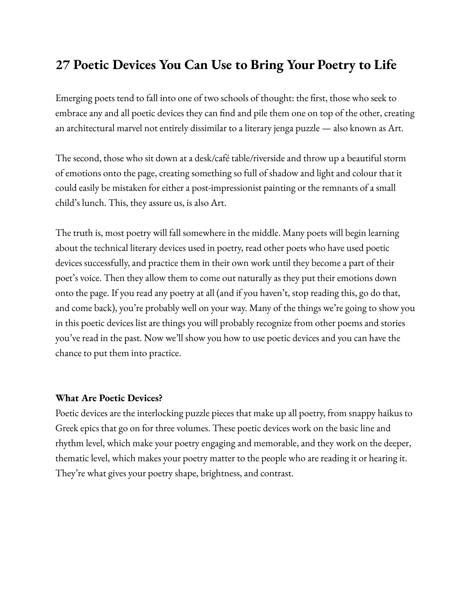# **27 Poetic Devices You Can Use to Bring Your Poetry to Life**

Emerging poets tend to fall into one of two schools of thought: the first, those who seek to embrace any and all poetic devices they can find and pile them one on top of the other, creating an architectural marvel not entirely dissimilar to a literary jenga puzzle — also known as Art.

The second, those who sit down at a desk/café table/riverside and throw up a beautiful storm of emotions onto the page, creating something so full of shadow and light and colour that it could easily be mistaken for either a post-impressionist painting or the remnants of a small child's lunch. This, they assure us, is also Art.

The truth is, most poetry will fall somewhere in the middle. Many poets will begin learning about the technical literary devices used in poetry, read other poets who have used poetic devices successfully, and practice them in their own work until they become a part of their poet's voice. Then they allow them to come out naturally as they put their emotions down onto the page. If you read any poetry at all (and if you haven't, stop reading this, go do that, and come back), you're probably well on your way. Many of the things we're going to show you in this poetic devices list are things you will probably recognize from other poems and stories you've read in the past. Now we'll show you how to use poetic devices and you can have the chance to put them into practice.

### **What Are Poetic Devices?**

Poetic devices are the interlocking puzzle pieces that make up all poetry, from snappy haikus to Greek epics that go on for three volumes. These poetic devices work on the basic line and rhythm level, which make your poetry engaging and memorable, and they work on the deeper, thematic level, which makes your poetry matter to the people who are reading it or hearing it. They're what gives your poetry shape, brightness, and contrast.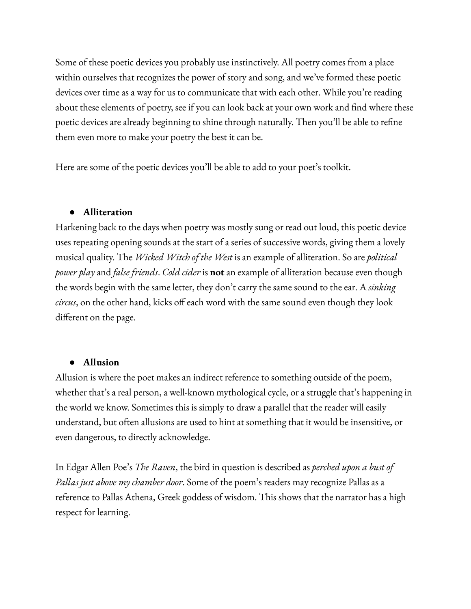Some of these poetic devices you probably use instinctively. All poetry comes from a place within ourselves that recognizes the power of story and song, and we've formed these poetic devices over time as a way for us to communicate that with each other. While you're reading about these elements of poetry, see if you can look back at your own work and find where these poetic devices are already beginning to shine through naturally. Then you'll be able to refine them even more to make your poetry the best it can be.

Here are some of the poetic devices you'll be able to add to your poet's toolkit.

### **● Alliteration**

Harkening back to the days when poetry was mostly sung or read out loud, this poetic device uses repeating opening sounds at the start of a series of successive words, giving them a lovely musical quality. The *Wicked Witch of the West* is an example of alliteration. So are *political power play* and *false friends*. *Cold cider* is **not** an example of alliteration because even though the words begin with the same letter, they don't carry the same sound to the ear. A *sinking circus*, on the other hand, kicks off each word with the same sound even though they look different on the page.

### ● **Allusion**

Allusion is where the poet makes an indirect reference to something outside of the poem, whether that's a real person, a well-known mythological cycle, or a struggle that's happening in the world we know. Sometimes this is simply to draw a parallel that the reader will easily understand, but often allusions are used to hint at something that it would be insensitive, or even dangerous, to directly acknowledge.

In Edgar Allen Poe's *The Raven*, the bird in question is described as *perched upon a bust of Pallas just above my chamber door*. Some of the poem's readers may recognize Pallas as a reference to Pallas Athena, Greek goddess of wisdom. This shows that the narrator has a high respect for learning.